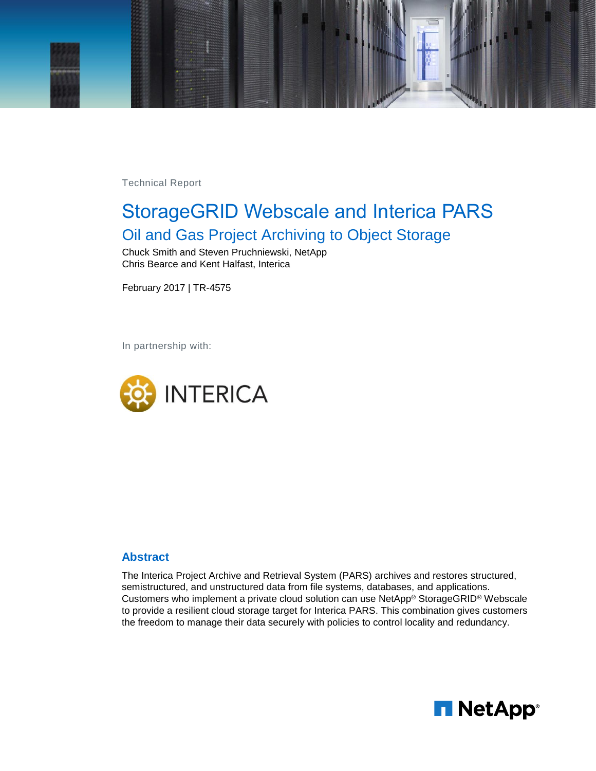

Technical Report

# StorageGRID Webscale and Interica PARS Oil and Gas Project Archiving to Object Storage

Chuck Smith and Steven Pruchniewski, NetApp Chris Bearce and Kent Halfast, Interica

February 2017 | TR-4575

In partnership with:



#### **Abstract**

**The Interica Project Archive and Retrieval System (PARS) archives and restores structured, semistructured, and unstructured data from file systems, databases, and applications. Customers who implement a private cloud solution can use NetApp® StorageGRID® Webscale to provide a resilient cloud storage target for Interica PARS. This combination gives customers the freedom to manage their data securely with policies to control locality and redundancy.**

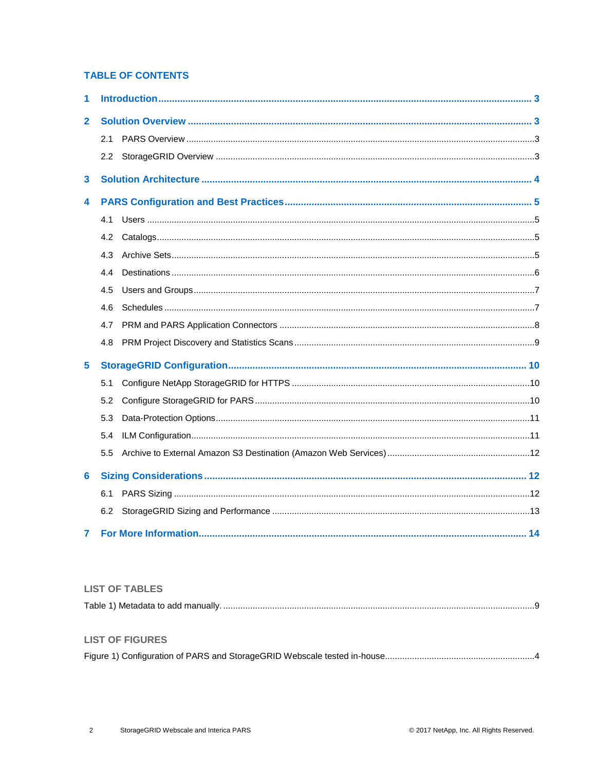### **TABLE OF CONTENTS**

| 1               |         |  |
|-----------------|---------|--|
| $\overline{2}$  |         |  |
|                 | 2.1     |  |
|                 | $2.2\,$ |  |
| 3               |         |  |
| 4               |         |  |
|                 | 4.1     |  |
|                 | 4.2     |  |
|                 | 4.3     |  |
|                 | 4.4     |  |
|                 | 4.5     |  |
|                 | 4.6     |  |
|                 | 4.7     |  |
|                 | 4.8     |  |
| 5               |         |  |
|                 | 5.1     |  |
|                 | 5.2     |  |
|                 | 5.3     |  |
|                 | 5.4     |  |
|                 | 5.5     |  |
| $6\phantom{1}6$ |         |  |
|                 | 6.1     |  |
|                 | 6.2     |  |
| 7               |         |  |

#### **LIST OF TABLES**

| Table 1) Metadata to add manually. |
|------------------------------------|
|------------------------------------|

## **LIST OF FIGURES**

|--|--|--|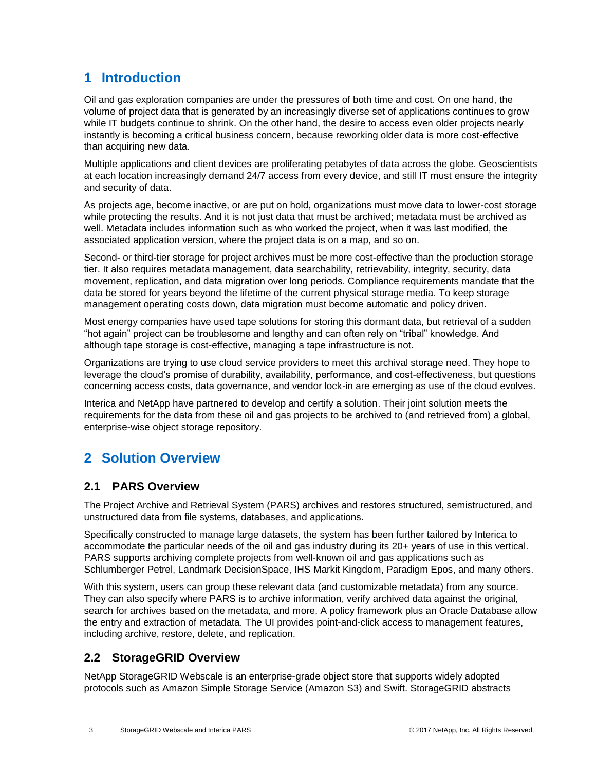# <span id="page-2-0"></span>**1 Introduction**

Oil and gas exploration companies are under the pressures of both time and cost. On one hand, the volume of project data that is generated by an increasingly diverse set of applications continues to grow while IT budgets continue to shrink. On the other hand, the desire to access even older projects nearly instantly is becoming a critical business concern, because reworking older data is more cost-effective than acquiring new data.

Multiple applications and client devices are proliferating petabytes of data across the globe. Geoscientists at each location increasingly demand 24/7 access from every device, and still IT must ensure the integrity and security of data.

As projects age, become inactive, or are put on hold, organizations must move data to lower-cost storage while protecting the results. And it is not just data that must be archived; metadata must be archived as well. Metadata includes information such as who worked the project, when it was last modified, the associated application version, where the project data is on a map, and so on.

Second- or third-tier storage for project archives must be more cost-effective than the production storage tier. It also requires metadata management, data searchability, retrievability, integrity, security, data movement, replication, and data migration over long periods. Compliance requirements mandate that the data be stored for years beyond the lifetime of the current physical storage media. To keep storage management operating costs down, data migration must become automatic and policy driven.

Most energy companies have used tape solutions for storing this dormant data, but retrieval of a sudden "hot again" project can be troublesome and lengthy and can often rely on "tribal" knowledge. And although tape storage is cost-effective, managing a tape infrastructure is not.

Organizations are trying to use cloud service providers to meet this archival storage need. They hope to leverage the cloud's promise of durability, availability, performance, and cost-effectiveness, but questions concerning access costs, data governance, and vendor lock-in are emerging as use of the cloud evolves.

Interica and NetApp have partnered to develop and certify a solution. Their joint solution meets the requirements for the data from these oil and gas projects to be archived to (and retrieved from) a global, enterprise-wise object storage repository.

# <span id="page-2-1"></span>**2 Solution Overview**

# <span id="page-2-2"></span>**2.1 PARS Overview**

The Project Archive and Retrieval System (PARS) archives and restores structured, semistructured, and unstructured data from file systems, databases, and applications.

Specifically constructed to manage large datasets, the system has been further tailored by Interica to accommodate the particular needs of the oil and gas industry during its 20+ years of use in this vertical. PARS supports archiving complete projects from well-known oil and gas applications such as Schlumberger Petrel, Landmark DecisionSpace, IHS Markit Kingdom, Paradigm Epos, and many others.

With this system, users can group these relevant data (and customizable metadata) from any source. They can also specify where PARS is to archive information, verify archived data against the original, search for archives based on the metadata, and more. A policy framework plus an Oracle Database allow the entry and extraction of metadata. The UI provides point-and-click access to management features, including archive, restore, delete, and replication.

# <span id="page-2-3"></span>**2.2 StorageGRID Overview**

NetApp StorageGRID Webscale is an enterprise-grade object store that supports widely adopted protocols such as Amazon Simple Storage Service (Amazon S3) and Swift. StorageGRID abstracts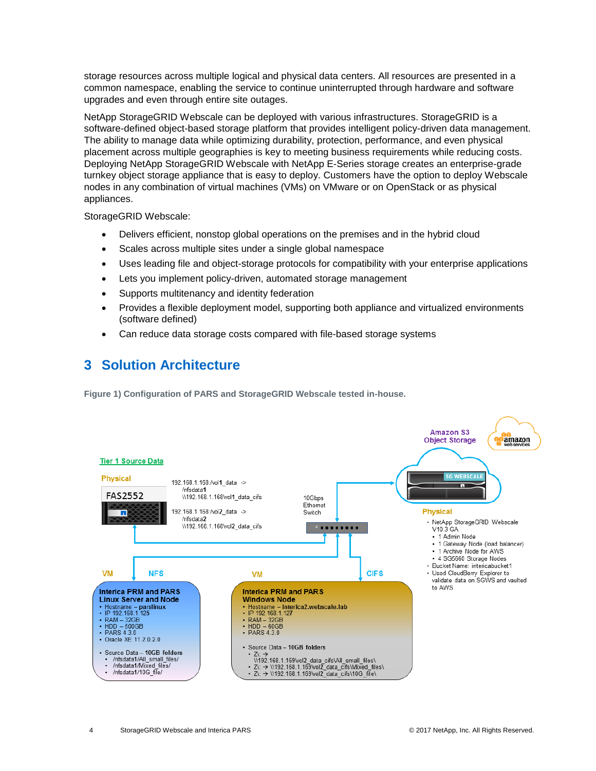storage resources across multiple logical and physical data centers. All resources are presented in a common namespace, enabling the service to continue uninterrupted through hardware and software upgrades and even through entire site outages.

NetApp StorageGRID Webscale can be deployed with various infrastructures. StorageGRID is a software-defined object-based storage platform that provides intelligent policy-driven data management. The ability to manage data while optimizing durability, protection, performance, and even physical placement across multiple geographies is key to meeting business requirements while reducing costs. Deploying NetApp StorageGRID Webscale with NetApp E-Series storage creates an enterprise-grade turnkey object storage appliance that is easy to deploy. Customers have the option to deploy Webscale nodes in any combination of virtual machines (VMs) on VMware or on OpenStack or as physical appliances.

StorageGRID Webscale:

- Delivers efficient, nonstop global operations on the premises and in the hybrid cloud
- Scales across multiple sites under a single global namespace
- Uses leading file and object-storage protocols for compatibility with your enterprise applications
- Lets you implement policy-driven, automated storage management
- Supports multitenancy and identity federation
- Provides a flexible deployment model, supporting both appliance and virtualized environments (software defined)
- Can reduce data storage costs compared with file-based storage systems

# <span id="page-3-0"></span>**3 Solution Architecture**

**Figure 1) Configuration of PARS and StorageGRID Webscale tested in-house.**

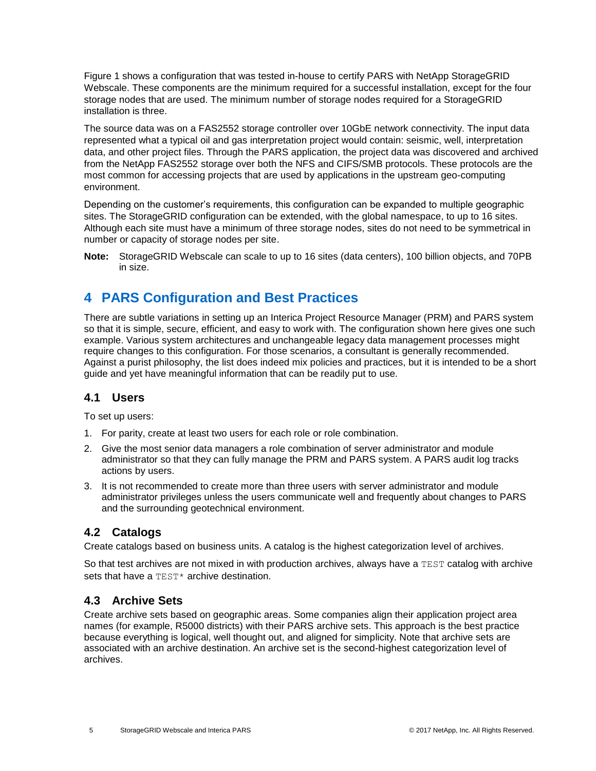Figure 1 shows a configuration that was tested in-house to certify PARS with NetApp StorageGRID Webscale. These components are the minimum required for a successful installation, except for the four storage nodes that are used. The minimum number of storage nodes required for a StorageGRID installation is three.

The source data was on a FAS2552 storage controller over 10GbE network connectivity. The input data represented what a typical oil and gas interpretation project would contain: seismic, well, interpretation data, and other project files. Through the PARS application, the project data was discovered and archived from the NetApp FAS2552 storage over both the NFS and CIFS/SMB protocols. These protocols are the most common for accessing projects that are used by applications in the upstream geo-computing environment.

Depending on the customer's requirements, this configuration can be expanded to multiple geographic sites. The StorageGRID configuration can be extended, with the global namespace, to up to 16 sites. Although each site must have a minimum of three storage nodes, sites do not need to be symmetrical in number or capacity of storage nodes per site.

**Note:** StorageGRID Webscale can scale to up to 16 sites (data centers), 100 billion objects, and 70PB in size.

# <span id="page-4-0"></span>**4 PARS Configuration and Best Practices**

There are subtle variations in setting up an Interica Project Resource Manager (PRM) and PARS system so that it is simple, secure, efficient, and easy to work with. The configuration shown here gives one such example. Various system architectures and unchangeable legacy data management processes might require changes to this configuration. For those scenarios, a consultant is generally recommended. Against a purist philosophy, the list does indeed mix policies and practices, but it is intended to be a short guide and yet have meaningful information that can be readily put to use.

# <span id="page-4-1"></span>**4.1 Users**

To set up users:

- 1. For parity, create at least two users for each role or role combination.
- 2. Give the most senior data managers a role combination of server administrator and module administrator so that they can fully manage the PRM and PARS system. A PARS audit log tracks actions by users.
- 3. It is not recommended to create more than three users with server administrator and module administrator privileges unless the users communicate well and frequently about changes to PARS and the surrounding geotechnical environment.

# <span id="page-4-2"></span>**4.2 Catalogs**

Create catalogs based on business units. A catalog is the highest categorization level of archives.

So that test archives are not mixed in with production archives, always have a TEST catalog with archive sets that have a TEST<sup>\*</sup> archive destination.

# <span id="page-4-3"></span>**4.3 Archive Sets**

Create archive sets based on geographic areas. Some companies align their application project area names (for example, R5000 districts) with their PARS archive sets. This approach is the best practice because everything is logical, well thought out, and aligned for simplicity. Note that archive sets are associated with an archive destination. An archive set is the second-highest categorization level of archives.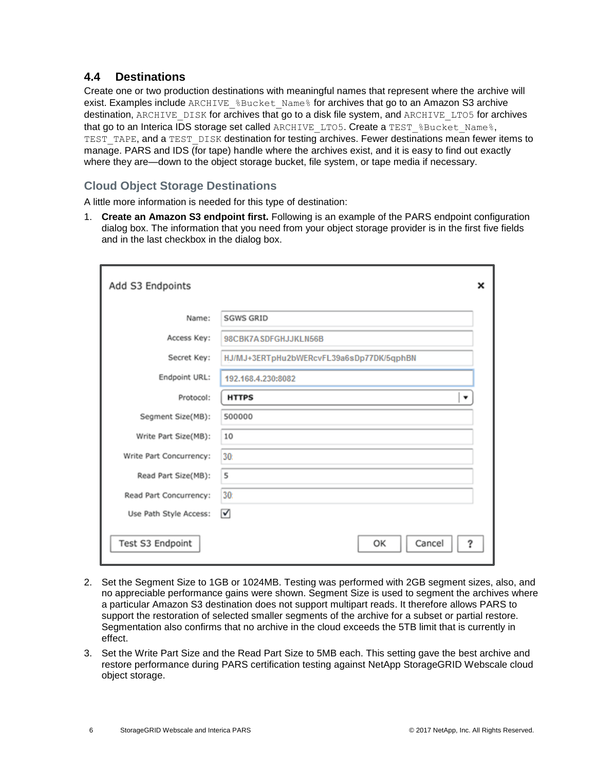# <span id="page-5-0"></span>**4.4 Destinations**

Create one or two production destinations with meaningful names that represent where the archive will exist. Examples include ARCHIVE & Bucket Name & for archives that go to an Amazon S3 archive destination, ARCHIVE DISK for archives that go to a disk file system, and ARCHIVE LTO5 for archives that go to an Interica IDS storage set called ARCHIVE\_LTO5. Create a TEST %Bucket\_Name%, TEST\_TAPE, and a TEST\_DISK destination for testing archives. Fewer destinations mean fewer items to manage. PARS and IDS (for tape) handle where the archives exist, and it is easy to find out exactly where they are—down to the object storage bucket, file system, or tape media if necessary.

### **Cloud Object Storage Destinations**

A little more information is needed for this type of destination:

1. **Create an Amazon S3 endpoint first.** Following is an example of the PARS endpoint configuration dialog box. The information that you need from your object storage provider is in the first five fields and in the last checkbox in the dialog box.

| Add S3 Endpoints        |                                          | × |
|-------------------------|------------------------------------------|---|
| Name:                   | <b>SGWS GRID</b>                         |   |
| Access Key:             | 98CBK7ASDFGHJJKLN56B                     |   |
| Secret Key:             | HJ/MJ+3ERTpHu2bWERcvFL39a6sDp77DK/5qphBN |   |
| Endpoint URL:           | 192.168.4.230:8082                       |   |
| Protocol:               | <b>HTTPS</b>                             |   |
| Segment Size(MB):       | 500000                                   |   |
| Write Part Size(MB):    | 10                                       |   |
| Write Part Concurrency: | 30 <sub>i</sub>                          |   |
| Read Part Size(MB):     | 5                                        |   |
| Read Part Concurrency:  | 30:                                      |   |
| Use Path Style Access:  | ☑                                        |   |
| Test S3 Endpoint        | Cancel<br>ОΚ<br>?                        |   |

- 2. Set the Segment Size to 1GB or 1024MB. Testing was performed with 2GB segment sizes, also, and no appreciable performance gains were shown. Segment Size is used to segment the archives where a particular Amazon S3 destination does not support multipart reads. It therefore allows PARS to support the restoration of selected smaller segments of the archive for a subset or partial restore. Segmentation also confirms that no archive in the cloud exceeds the 5TB limit that is currently in effect.
- 3. Set the Write Part Size and the Read Part Size to 5MB each. This setting gave the best archive and restore performance during PARS certification testing against NetApp StorageGRID Webscale cloud object storage.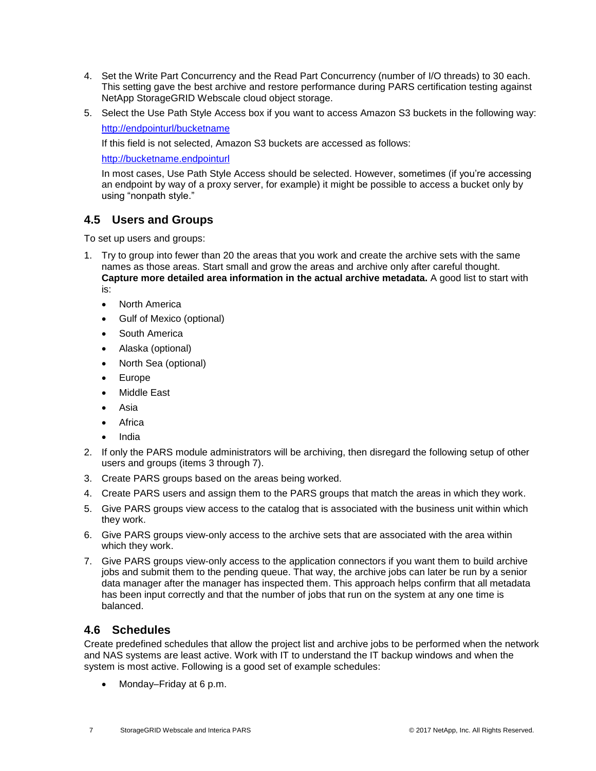- 4. Set the Write Part Concurrency and the Read Part Concurrency (number of I/O threads) to 30 each. This setting gave the best archive and restore performance during PARS certification testing against NetApp StorageGRID Webscale cloud object storage.
- 5. Select the Use Path Style Access box if you want to access Amazon S3 buckets in the following way:

<http://endpointurl/bucketname>

If this field is not selected, Amazon S3 buckets are accessed as follows:

[http://bucketname.endpointurl](http://bucketname.endpointurl/)

In most cases, Use Path Style Access should be selected. However, sometimes (if you're accessing an endpoint by way of a proxy server, for example) it might be possible to access a bucket only by using "nonpath style."

# <span id="page-6-0"></span>**4.5 Users and Groups**

To set up users and groups:

- 1. Try to group into fewer than 20 the areas that you work and create the archive sets with the same names as those areas. Start small and grow the areas and archive only after careful thought. **Capture more detailed area information in the actual archive metadata.** A good list to start with is:
	- North America
	- Gulf of Mexico (optional)
	- South America
	- Alaska (optional)
	- North Sea (optional)
	- Europe
	- Middle East
	- Asia
	- Africa
	- India
- 2. If only the PARS module administrators will be archiving, then disregard the following setup of other users and groups (items 3 through 7).
- 3. Create PARS groups based on the areas being worked.
- 4. Create PARS users and assign them to the PARS groups that match the areas in which they work.
- 5. Give PARS groups view access to the catalog that is associated with the business unit within which they work.
- 6. Give PARS groups view-only access to the archive sets that are associated with the area within which they work.
- 7. Give PARS groups view-only access to the application connectors if you want them to build archive jobs and submit them to the pending queue. That way, the archive jobs can later be run by a senior data manager after the manager has inspected them. This approach helps confirm that all metadata has been input correctly and that the number of jobs that run on the system at any one time is balanced.

### <span id="page-6-1"></span>**4.6 Schedules**

Create predefined schedules that allow the project list and archive jobs to be performed when the network and NAS systems are least active. Work with IT to understand the IT backup windows and when the system is most active. Following is a good set of example schedules:

Monday–Friday at 6 p.m.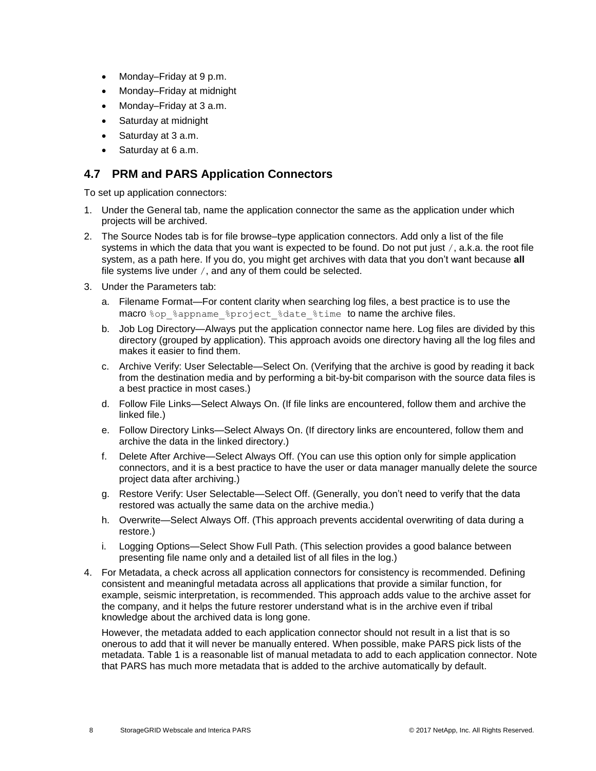- Monday–Friday at 9 p.m.
- Monday–Friday at midnight
- Monday–Friday at 3 a.m.
- Saturday at midnight
- Saturday at 3 a.m.
- Saturday at 6 a.m.

# <span id="page-7-0"></span>**4.7 PRM and PARS Application Connectors**

To set up application connectors:

- 1. Under the General tab, name the application connector the same as the application under which projects will be archived.
- 2. The Source Nodes tab is for file browse–type application connectors. Add only a list of the file systems in which the data that you want is expected to be found. Do not put just  $/$ , a.k.a. the root file system, as a path here. If you do, you might get archives with data that you don't want because **all** file systems live under /, and any of them could be selected.
- 3. Under the Parameters tab:
	- a. Filename Format—For content clarity when searching log files, a best practice is to use the macro %op %appname %project %date %time to name the archive files.
	- b. Job Log Directory—Always put the application connector name here. Log files are divided by this directory (grouped by application). This approach avoids one directory having all the log files and makes it easier to find them.
	- c. Archive Verify: User Selectable—Select On. (Verifying that the archive is good by reading it back from the destination media and by performing a bit-by-bit comparison with the source data files is a best practice in most cases.)
	- d. Follow File Links—Select Always On. (If file links are encountered, follow them and archive the linked file.)
	- e. Follow Directory Links—Select Always On. (If directory links are encountered, follow them and archive the data in the linked directory.)
	- f. Delete After Archive—Select Always Off. (You can use this option only for simple application connectors, and it is a best practice to have the user or data manager manually delete the source project data after archiving.)
	- g. Restore Verify: User Selectable—Select Off. (Generally, you don't need to verify that the data restored was actually the same data on the archive media.)
	- h. Overwrite—Select Always Off. (This approach prevents accidental overwriting of data during a restore.)
	- i. Logging Options—Select Show Full Path. (This selection provides a good balance between presenting file name only and a detailed list of all files in the log.)
- 4. For Metadata, a check across all application connectors for consistency is recommended. Defining consistent and meaningful metadata across all applications that provide a similar function, for example, seismic interpretation, is recommended. This approach adds value to the archive asset for the company, and it helps the future restorer understand what is in the archive even if tribal knowledge about the archived data is long gone.

However, the metadata added to each application connector should not result in a list that is so onerous to add that it will never be manually entered. When possible, make PARS pick lists of the metadata. Table 1 is a reasonable list of manual metadata to add to each application connector. Note that PARS has much more metadata that is added to the archive automatically by default.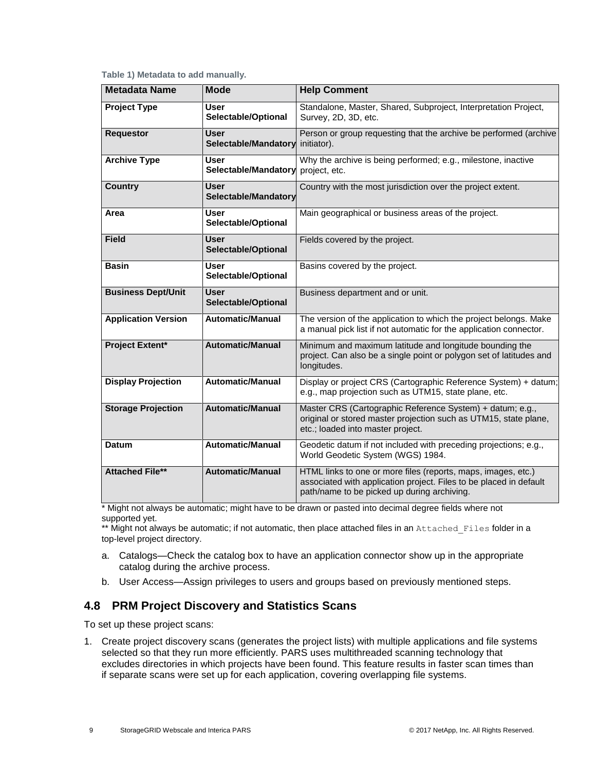<span id="page-8-1"></span>

|  | Table 1) Metadata to add manually. |  |  |
|--|------------------------------------|--|--|
|--|------------------------------------|--|--|

| <b>Metadata Name</b>       | <b>Mode</b>                         | <b>Help Comment</b>                                                                                                                                                                |
|----------------------------|-------------------------------------|------------------------------------------------------------------------------------------------------------------------------------------------------------------------------------|
| <b>Project Type</b>        | <b>User</b><br>Selectable/Optional  | Standalone, Master, Shared, Subproject, Interpretation Project,<br>Survey, 2D, 3D, etc.                                                                                            |
| <b>Requestor</b>           | <b>User</b><br>Selectable/Mandatory | Person or group requesting that the archive be performed (archive<br>initiator).                                                                                                   |
| <b>Archive Type</b>        | User<br>Selectable/Mandatory        | Why the archive is being performed; e.g., milestone, inactive<br>project, etc.                                                                                                     |
| <b>Country</b>             | <b>User</b><br>Selectable/Mandatory | Country with the most jurisdiction over the project extent.                                                                                                                        |
| Area                       | User<br>Selectable/Optional         | Main geographical or business areas of the project.                                                                                                                                |
| <b>Field</b>               | <b>User</b><br>Selectable/Optional  | Fields covered by the project.                                                                                                                                                     |
| <b>Basin</b>               | <b>User</b><br>Selectable/Optional  | Basins covered by the project.                                                                                                                                                     |
| <b>Business Dept/Unit</b>  | <b>User</b><br>Selectable/Optional  | Business department and or unit.                                                                                                                                                   |
| <b>Application Version</b> | <b>Automatic/Manual</b>             | The version of the application to which the project belongs. Make<br>a manual pick list if not automatic for the application connector.                                            |
| <b>Project Extent*</b>     | <b>Automatic/Manual</b>             | Minimum and maximum latitude and longitude bounding the<br>project. Can also be a single point or polygon set of latitudes and<br>longitudes.                                      |
| <b>Display Projection</b>  | <b>Automatic/Manual</b>             | Display or project CRS (Cartographic Reference System) + datum;<br>e.g., map projection such as UTM15, state plane, etc.                                                           |
| <b>Storage Projection</b>  | <b>Automatic/Manual</b>             | Master CRS (Cartographic Reference System) + datum; e.g.,<br>original or stored master projection such as UTM15, state plane,<br>etc.; loaded into master project.                 |
| <b>Datum</b>               | <b>Automatic/Manual</b>             | Geodetic datum if not included with preceding projections; e.g.,<br>World Geodetic System (WGS) 1984.                                                                              |
| <b>Attached File**</b>     | <b>Automatic/Manual</b>             | HTML links to one or more files (reports, maps, images, etc.)<br>associated with application project. Files to be placed in default<br>path/name to be picked up during archiving. |

\* Might not always be automatic; might have to be drawn or pasted into decimal degree fields where not supported yet.

\*\* Might not always be automatic; if not automatic, then place attached files in an Attached Files folder in a top-level project directory.

- a. Catalogs—Check the catalog box to have an application connector show up in the appropriate catalog during the archive process.
- b. User Access—Assign privileges to users and groups based on previously mentioned steps.

# <span id="page-8-0"></span>**4.8 PRM Project Discovery and Statistics Scans**

To set up these project scans:

1. Create project discovery scans (generates the project lists) with multiple applications and file systems selected so that they run more efficiently. PARS uses multithreaded scanning technology that excludes directories in which projects have been found. This feature results in faster scan times than if separate scans were set up for each application, covering overlapping file systems.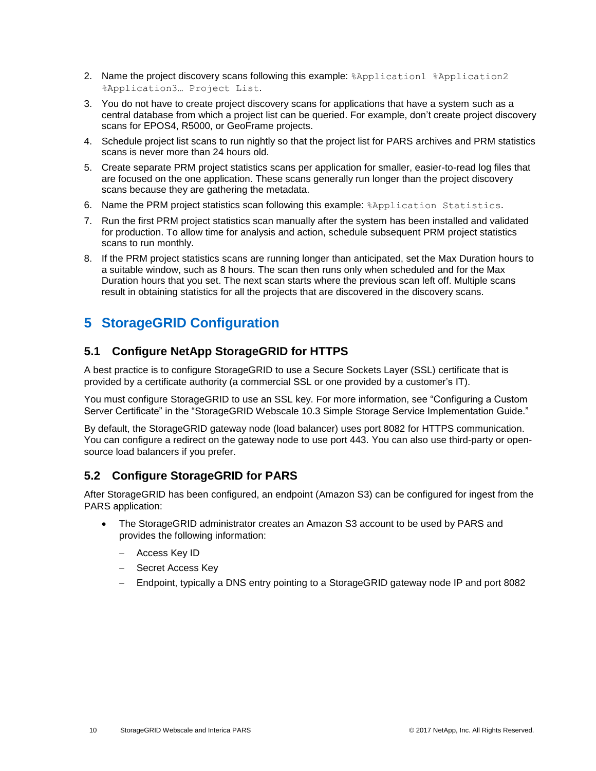- 2. Name the project discovery scans following this example:  $\alpha$  application1  $\alpha$  application2 %Application3… Project List.
- 3. You do not have to create project discovery scans for applications that have a system such as a central database from which a project list can be queried. For example, don't create project discovery scans for EPOS4, R5000, or GeoFrame projects.
- 4. Schedule project list scans to run nightly so that the project list for PARS archives and PRM statistics scans is never more than 24 hours old.
- 5. Create separate PRM project statistics scans per application for smaller, easier-to-read log files that are focused on the one application. These scans generally run longer than the project discovery scans because they are gathering the metadata.
- 6. Name the PRM project statistics scan following this example:  $\frac{1}{2}$  Application Statistics.
- 7. Run the first PRM project statistics scan manually after the system has been installed and validated for production. To allow time for analysis and action, schedule subsequent PRM project statistics scans to run monthly.
- 8. If the PRM project statistics scans are running longer than anticipated, set the Max Duration hours to a suitable window, such as 8 hours. The scan then runs only when scheduled and for the Max Duration hours that you set. The next scan starts where the previous scan left off. Multiple scans result in obtaining statistics for all the projects that are discovered in the discovery scans.

# <span id="page-9-0"></span>**5 StorageGRID Configuration**

# <span id="page-9-1"></span>**5.1 Configure NetApp StorageGRID for HTTPS**

A best practice is to configure StorageGRID to use a Secure Sockets Layer (SSL) certificate that is provided by a certificate authority (a commercial SSL or one provided by a customer's IT).

You must configure StorageGRID to use an SSL key. For more information, see "Configuring a Custom Server Certificate" in the "StorageGRID Webscale 10.3 Simple Storage Service Implementation Guide."

By default, the StorageGRID gateway node (load balancer) uses port 8082 for HTTPS communication. You can configure a redirect on the gateway node to use port 443. You can also use third-party or opensource load balancers if you prefer.

# <span id="page-9-2"></span>**5.2 Configure StorageGRID for PARS**

After StorageGRID has been configured, an endpoint (Amazon S3) can be configured for ingest from the PARS application:

- The StorageGRID administrator creates an Amazon S3 account to be used by PARS and provides the following information:
	- Access Key ID
	- Secret Access Key
	- Endpoint, typically a DNS entry pointing to a StorageGRID gateway node IP and port 8082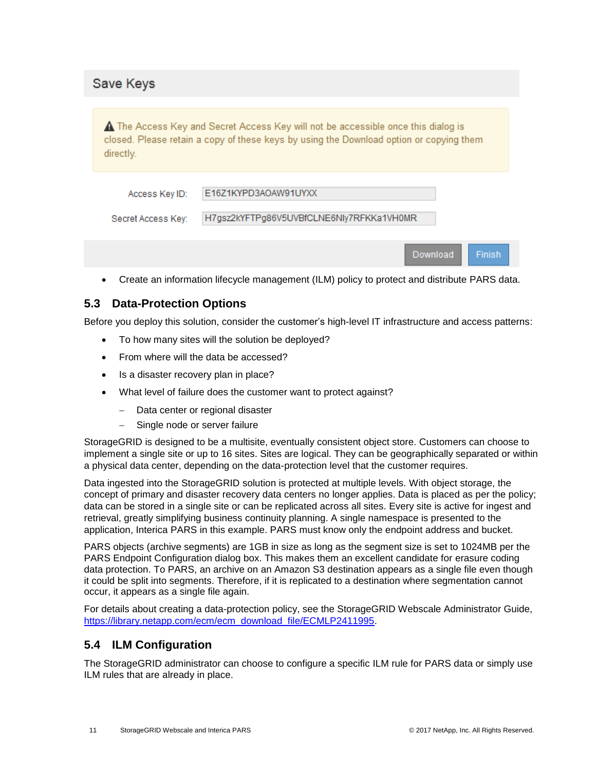|  | Save Keys |  |
|--|-----------|--|
|  |           |  |

A The Access Key and Secret Access Key will not be accessible once this dialog is closed. Please retain a copy of these keys by using the Download option or copying them directly.

| Access Key ID:     | E16Z1KYPD3AOAW91UYXX                     |
|--------------------|------------------------------------------|
| Secret Access Key: | H7gsz2kYFTPg86V5UVBfCLNE6Nly7RFKKa1VH0MR |
|                    |                                          |

Create an information lifecycle management (ILM) policy to protect and distribute PARS data.

Download

Finish

# <span id="page-10-0"></span>**5.3 Data-Protection Options**

Before you deploy this solution, consider the customer's high-level IT infrastructure and access patterns:

- To how many sites will the solution be deployed?
- From where will the data be accessed?
- Is a disaster recovery plan in place?
- What level of failure does the customer want to protect against?
	- Data center or regional disaster
	- Single node or server failure

StorageGRID is designed to be a multisite, eventually consistent object store. Customers can choose to implement a single site or up to 16 sites. Sites are logical. They can be geographically separated or within a physical data center, depending on the data-protection level that the customer requires.

Data ingested into the StorageGRID solution is protected at multiple levels. With object storage, the concept of primary and disaster recovery data centers no longer applies. Data is placed as per the policy; data can be stored in a single site or can be replicated across all sites. Every site is active for ingest and retrieval, greatly simplifying business continuity planning. A single namespace is presented to the application, Interica PARS in this example. PARS must know only the endpoint address and bucket.

PARS objects (archive segments) are 1GB in size as long as the segment size is set to 1024MB per the PARS Endpoint Configuration dialog box. This makes them an excellent candidate for erasure coding data protection. To PARS, an archive on an Amazon S3 destination appears as a single file even though it could be split into segments. Therefore, if it is replicated to a destination where segmentation cannot occur, it appears as a single file again.

For details about creating a data-protection policy, see the StorageGRID Webscale Administrator Guide, [https://library.netapp.com/ecm/ecm\\_download\\_file/ECMLP2411995.](https://library.netapp.com/ecm/ecm_download_file/ECMLP2411995)

### <span id="page-10-1"></span>**5.4 ILM Configuration**

The StorageGRID administrator can choose to configure a specific ILM rule for PARS data or simply use ILM rules that are already in place.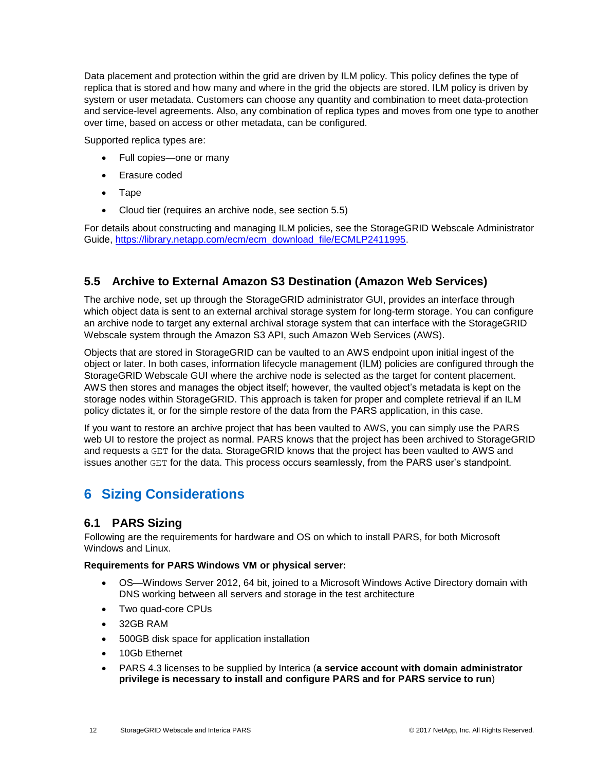Data placement and protection within the grid are driven by ILM policy. This policy defines the type of replica that is stored and how many and where in the grid the objects are stored. ILM policy is driven by system or user metadata. Customers can choose any quantity and combination to meet data-protection and service-level agreements. Also, any combination of replica types and moves from one type to another over time, based on access or other metadata, can be configured.

Supported replica types are:

- Full copies—one or many
- Erasure coded
- Tape
- Cloud tier (requires an archive node, see section 5.5)

For details about constructing and managing ILM policies, see the StorageGRID Webscale Administrator Guide, [https://library.netapp.com/ecm/ecm\\_download\\_file/ECMLP2411995.](https://library.netapp.com/ecm/ecm_download_file/ECMLP2411995)

# <span id="page-11-0"></span>**5.5 Archive to External Amazon S3 Destination (Amazon Web Services)**

The archive node, set up through the StorageGRID administrator GUI, provides an interface through which object data is sent to an external archival storage system for long-term storage. You can configure an archive node to target any external archival storage system that can interface with the StorageGRID Webscale system through the Amazon S3 API, such Amazon Web Services (AWS).

Objects that are stored in StorageGRID can be vaulted to an AWS endpoint upon initial ingest of the object or later. In both cases, information lifecycle management (ILM) policies are configured through the StorageGRID Webscale GUI where the archive node is selected as the target for content placement. AWS then stores and manages the object itself; however, the vaulted object's metadata is kept on the storage nodes within StorageGRID. This approach is taken for proper and complete retrieval if an ILM policy dictates it, or for the simple restore of the data from the PARS application, in this case.

If you want to restore an archive project that has been vaulted to AWS, you can simply use the PARS web UI to restore the project as normal. PARS knows that the project has been archived to StorageGRID and requests a GET for the data. StorageGRID knows that the project has been vaulted to AWS and issues another GET for the data. This process occurs seamlessly, from the PARS user's standpoint.

# <span id="page-11-1"></span>**6 Sizing Considerations**

# <span id="page-11-2"></span>**6.1 PARS Sizing**

Following are the requirements for hardware and OS on which to install PARS, for both Microsoft Windows and Linux.

### **Requirements for PARS Windows VM or physical server:**

- OS—Windows Server 2012, 64 bit, joined to a Microsoft Windows Active Directory domain with DNS working between all servers and storage in the test architecture
- Two quad-core CPUs
- 32GB RAM
- 500GB disk space for application installation
- 10Gb Ethernet
- PARS 4.3 licenses to be supplied by Interica (**a service account with domain administrator privilege is necessary to install and configure PARS and for PARS service to run**)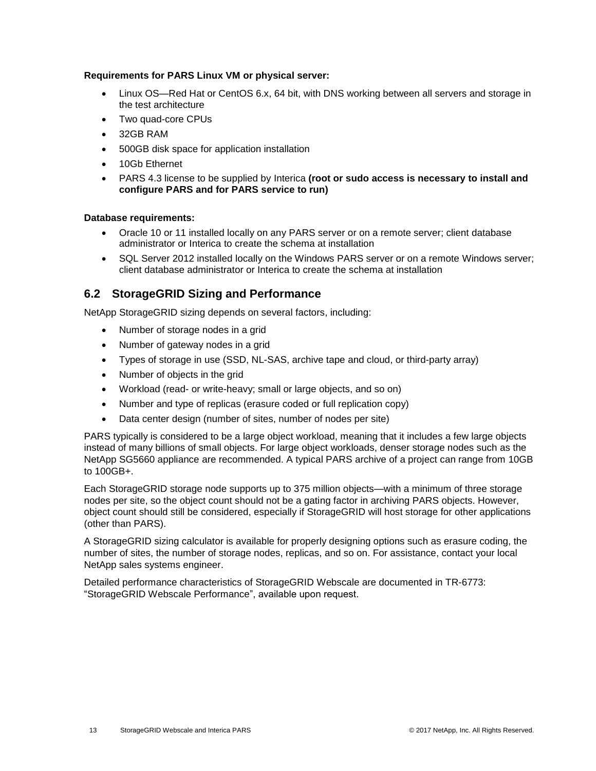#### **Requirements for PARS Linux VM or physical server:**

- Linux OS—Red Hat or CentOS 6.x, 64 bit, with DNS working between all servers and storage in the test architecture
- Two quad-core CPUs
- 32GB RAM
- 500GB disk space for application installation
- 10Gb Ethernet
- PARS 4.3 license to be supplied by Interica **(root or sudo access is necessary to install and configure PARS and for PARS service to run)**

#### **Database requirements:**

- Oracle 10 or 11 installed locally on any PARS server or on a remote server; client database administrator or Interica to create the schema at installation
- SQL Server 2012 installed locally on the Windows PARS server or on a remote Windows server; client database administrator or Interica to create the schema at installation

### <span id="page-12-0"></span>**6.2 StorageGRID Sizing and Performance**

NetApp StorageGRID sizing depends on several factors, including:

- Number of storage nodes in a grid
- Number of gateway nodes in a grid
- Types of storage in use (SSD, NL-SAS, archive tape and cloud, or third-party array)
- Number of objects in the grid
- Workload (read- or write-heavy; small or large objects, and so on)
- Number and type of replicas (erasure coded or full replication copy)
- Data center design (number of sites, number of nodes per site)

PARS typically is considered to be a large object workload, meaning that it includes a few large objects instead of many billions of small objects. For large object workloads, denser storage nodes such as the NetApp SG5660 appliance are recommended. A typical PARS archive of a project can range from 10GB to 100GB+.

Each StorageGRID storage node supports up to 375 million objects—with a minimum of three storage nodes per site, so the object count should not be a gating factor in archiving PARS objects. However, object count should still be considered, especially if StorageGRID will host storage for other applications (other than PARS).

A StorageGRID sizing calculator is available for properly designing options such as erasure coding, the number of sites, the number of storage nodes, replicas, and so on. For assistance, contact your local NetApp sales systems engineer.

Detailed performance characteristics of StorageGRID Webscale are documented in TR-6773: "StorageGRID Webscale Performance", available upon request.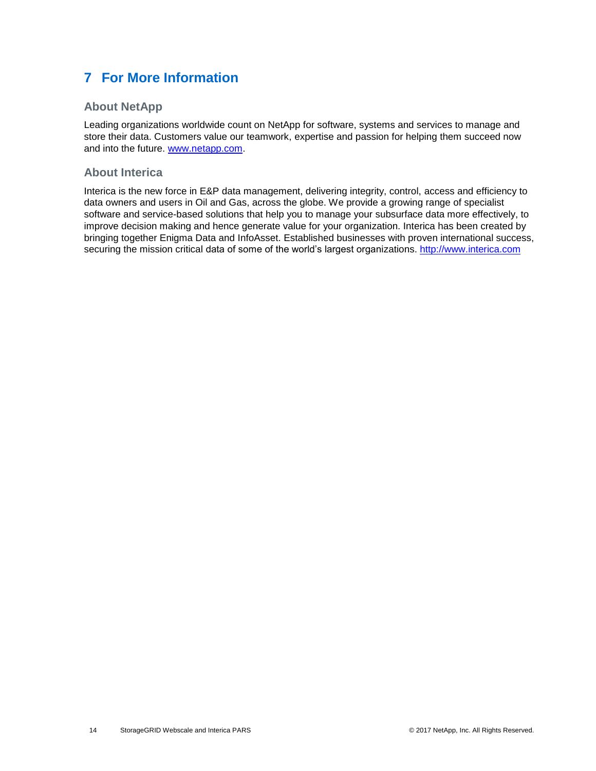# <span id="page-13-0"></span>**7 For More Information**

### **About NetApp**

Leading organizations worldwide count on NetApp for software, systems and services to manage and store their data. Customers value our teamwork, expertise and passion for helping them succeed now and into the future. [www.netapp.com.](http://www.netapp.com/)

### **About Interica**

Interica is the new force in E&P data management, delivering integrity, control, access and efficiency to data owners and users in Oil and Gas, across the globe. We provide a growing range of specialist software and service-based solutions that help you to manage your subsurface data more effectively, to improve decision making and hence generate value for your organization. Interica has been created by bringing together Enigma Data and InfoAsset. Established businesses with proven international success, securing the mission critical data of some of the world's largest organizations. [http://www.interica.com](http://www.interica.com/)